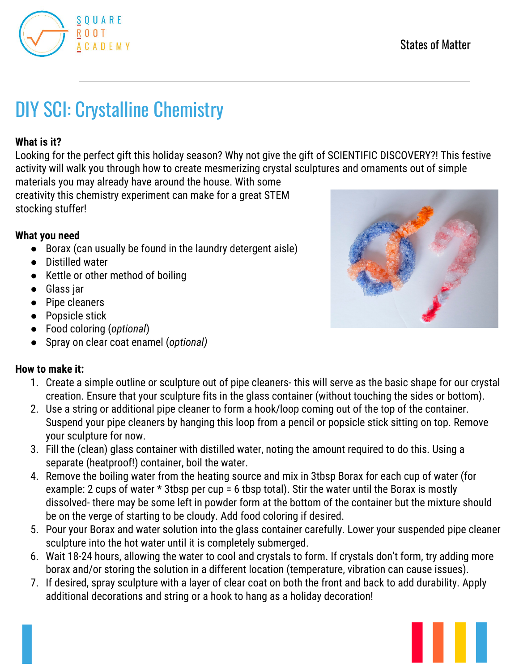

# DIY SCI: Crystalline Chemistry

## **What is it?**

Looking for the perfect gift this holiday season? Why not give the gift of SCIENTIFIC DISCOVERY?! This festive activity will walk you through how to create mesmerizing crystal sculptures and ornaments out of simple

materials you may already have around the house. With some creativity this chemistry experiment can make for a great STEM stocking stuffer!

## **What you need**

- Borax (can usually be found in the laundry detergent aisle)
- Distilled water
- Kettle or other method of boiling
- Glass jar
- Pipe cleaners
- Popsicle stick
- Food coloring (*optional*)
- Spray on clear coat enamel (*optional)*

## **How to make it:**

- 1. Create a simple outline or sculpture out of pipe cleaners- this will serve as the basic shape for our crystal creation. Ensure that your sculpture fits in the glass container (without touching the sides or bottom).
- 2. Use a string or additional pipe cleaner to form a hook/loop coming out of the top of the container. Suspend your pipe cleaners by hanging this loop from a pencil or popsicle stick sitting on top. Remove your sculpture for now.
- 3. Fill the (clean) glass container with distilled water, noting the amount required to do this. Using a separate (heatproof!) container, boil the water.
- 4. Remove the boiling water from the heating source and mix in 3tbsp Borax for each cup of water (for example: 2 cups of water \* 3tbsp per cup = 6 tbsp total). Stir the water until the Borax is mostly dissolved- there may be some left in powder form at the bottom of the container but the mixture should be on the verge of starting to be cloudy. Add food coloring if desired.
- 5. Pour your Borax and water solution into the glass container carefully. Lower your suspended pipe cleaner sculpture into the hot water until it is completely submerged.
- 6. Wait 18-24 hours, allowing the water to cool and crystals to form. If crystals don't form, try adding more borax and/or storing the solution in a different location (temperature, vibration can cause issues).
- 7. If desired, spray sculpture with a layer of clear coat on both the front and back to add durability. Apply additional decorations and string or a hook to hang as a holiday decoration!